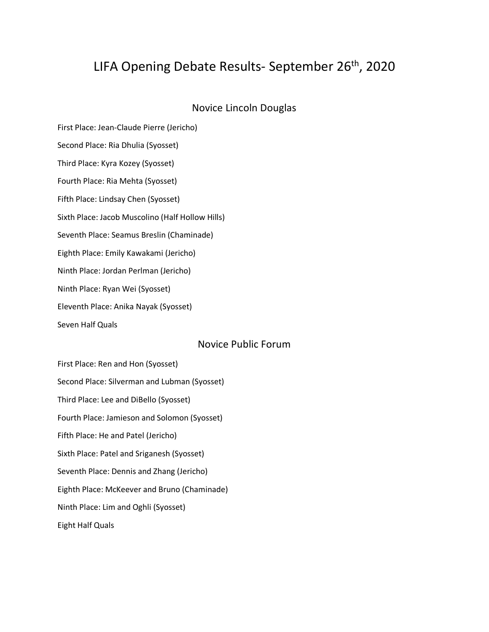# LIFA Opening Debate Results- September 26<sup>th</sup>, 2020

### Novice Lincoln Douglas

First Place: Jean-Claude Pierre (Jericho) Second Place: Ria Dhulia (Syosset) Third Place: Kyra Kozey (Syosset) Fourth Place: Ria Mehta (Syosset) Fifth Place: Lindsay Chen (Syosset) Sixth Place: Jacob Muscolino (Half Hollow Hills) Seventh Place: Seamus Breslin (Chaminade) Eighth Place: Emily Kawakami (Jericho) Ninth Place: Jordan Perlman (Jericho) Ninth Place: Ryan Wei (Syosset) Eleventh Place: Anika Nayak (Syosset) Seven Half Quals

## Novice Public Forum

First Place: Ren and Hon (Syosset) Second Place: Silverman and Lubman (Syosset) Third Place: Lee and DiBello (Syosset) Fourth Place: Jamieson and Solomon (Syosset) Fifth Place: He and Patel (Jericho) Sixth Place: Patel and Sriganesh (Syosset) Seventh Place: Dennis and Zhang (Jericho) Eighth Place: McKeever and Bruno (Chaminade) Ninth Place: Lim and Oghli (Syosset) Eight Half Quals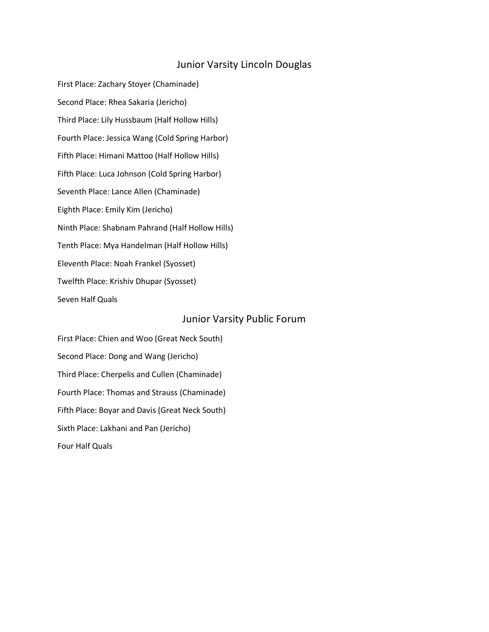# Junior Varsity Lincoln Douglas

First Place: Zachary Stoyer (Chaminade) Second Place: Rhea Sakaria (Jericho) Third Place: Lily Hussbaum (Half Hollow Hills) Fourth Place: Jessica Wang (Cold Spring Harbor) Fifth Place: Himani Mattoo (Half Hollow Hills) Fifth Place: Luca Johnson (Cold Spring Harbor) Seventh Place: Lance Allen (Chaminade) Eighth Place: Emily Kim (Jericho) Ninth Place: Shabnam Pahrand (Half Hollow Hills) Tenth Place: Mya Handelman (Half Hollow Hills) Eleventh Place: Noah Frankel (Syosset) Twelfth Place: Krishiv Dhupar (Syosset) Seven Half Quals

### Junior Varsity Public Forum

First Place: Chien and Woo (Great Neck South) Second Place: Dong and Wang (Jericho) Third Place: Cherpelis and Cullen (Chaminade) Fourth Place: Thomas and Strauss (Chaminade) Fifth Place: Boyar and Davis (Great Neck South) Sixth Place: Lakhani and Pan (Jericho) Four Half Quals